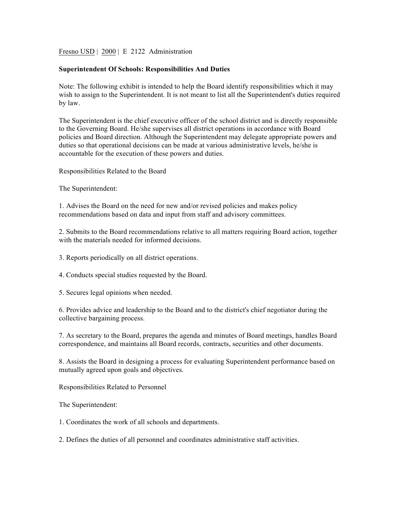Fresno USD | 2000 | E 2122 Administration

## **Superintendent Of Schools: Responsibilities And Duties**

Note: The following exhibit is intended to help the Board identify responsibilities which it may wish to assign to the Superintendent. It is not meant to list all the Superintendent's duties required by law.

The Superintendent is the chief executive officer of the school district and is directly responsible to the Governing Board. He/she supervises all district operations in accordance with Board policies and Board direction. Although the Superintendent may delegate appropriate powers and duties so that operational decisions can be made at various administrative levels, he/she is accountable for the execution of these powers and duties.

Responsibilities Related to the Board

The Superintendent:

1. Advises the Board on the need for new and/or revised policies and makes policy recommendations based on data and input from staff and advisory committees.

2. Submits to the Board recommendations relative to all matters requiring Board action, together with the materials needed for informed decisions.

3. Reports periodically on all district operations.

4. Conducts special studies requested by the Board.

5. Secures legal opinions when needed.

6. Provides advice and leadership to the Board and to the district's chief negotiator during the collective bargaining process.

7. As secretary to the Board, prepares the agenda and minutes of Board meetings, handles Board correspondence, and maintains all Board records, contracts, securities and other documents.

8. Assists the Board in designing a process for evaluating Superintendent performance based on mutually agreed upon goals and objectives.

Responsibilities Related to Personnel

The Superintendent:

1. Coordinates the work of all schools and departments.

2. Defines the duties of all personnel and coordinates administrative staff activities.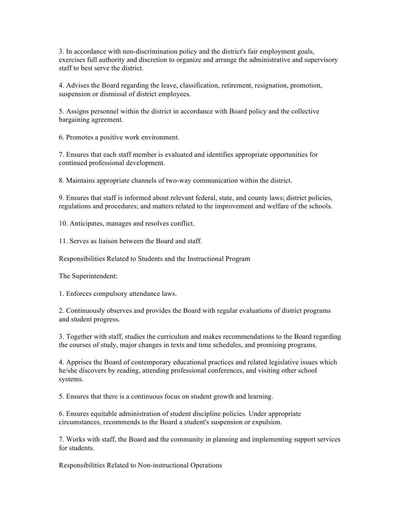3. In accordance with non-discrimination policy and the district's fair employment goals, exercises full authority and discretion to organize and arrange the administrative and supervisory staff to best serve the district.

4. Advises the Board regarding the leave, classification, retirement, resignation, promotion, suspension or dismissal of district employees.

5. Assigns personnel within the district in accordance with Board policy and the collective bargaining agreement.

6. Promotes a positive work environment.

7. Ensures that each staff member is evaluated and identifies appropriate opportunities for continued professional development.

8. Maintains appropriate channels of two-way communication within the district.

9. Ensures that staff is informed about relevant federal, state, and county laws; district policies, regulations and procedures; and matters related to the improvement and welfare of the schools.

10. Anticipates, manages and resolves conflict.

11. Serves as liaison between the Board and staff.

Responsibilities Related to Students and the Instructional Program

The Superintendent:

1. Enforces compulsory attendance laws.

2. Continuously observes and provides the Board with regular evaluations of district programs and student progress.

3. Together with staff, studies the curriculum and makes recommendations to the Board regarding the courses of study, major changes in texts and time schedules, and promising programs.

4. Apprises the Board of contemporary educational practices and related legislative issues which he/she discovers by reading, attending professional conferences, and visiting other school systems.

5. Ensures that there is a continuous focus on student growth and learning.

6. Ensures equitable administration of student discipline policies. Under appropriate circumstances, recommends to the Board a student's suspension or expulsion.

7. Works with staff, the Board and the community in planning and implementing support services for students.

Responsibilities Related to Non-instructional Operations